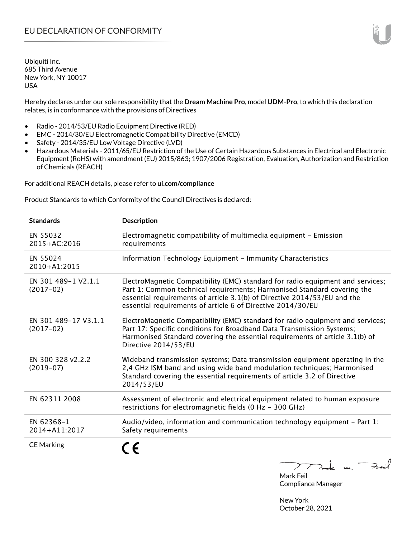Hereby declares under our sole responsibility that the **Dream Machine Pro**, model **UDM-Pro**, to which this declaration relates, is in conformance with the provisions of Directives

- Radio 2014/53/EU Radio Equipment Directive (RED)
- EMC 2014/30/EU Electromagnetic Compatibility Directive (EMCD)
- Safety 2014/35/EU Low Voltage Directive (LVD)
- Hazardous Materials 2011/65/EU Restriction of the Use of Certain Hazardous Substances in Electrical and Electronic Equipment (RoHS) with amendment (EU) 2015/863; 1907/2006 Registration, Evaluation, Authorization and Restriction of Chemicals (REACH)

For additional REACH details, please refer to **ui.com/compliance**

Product Standards to which Conformity of the Council Directives is declared:

| <b>Standards</b>                    | <b>Description</b>                                                                                                                                                                                                                                                                                   |
|-------------------------------------|------------------------------------------------------------------------------------------------------------------------------------------------------------------------------------------------------------------------------------------------------------------------------------------------------|
| EN 55032<br>2015+AC:2016            | Electromagnetic compatibility of multimedia equipment - Emission<br>requirements                                                                                                                                                                                                                     |
| EN 55024<br>2010+A1:2015            | Information Technology Equipment - Immunity Characteristics                                                                                                                                                                                                                                          |
| EN 301 489-1 V2.1.1<br>$(2017-02)$  | ElectroMagnetic Compatibility (EMC) standard for radio equipment and services;<br>Part 1: Common technical requirements; Harmonised Standard covering the<br>essential requirements of article 3.1(b) of Directive 2014/53/EU and the<br>essential requirements of article 6 of Directive 2014/30/EU |
| EN 301 489-17 V3.1.1<br>$(2017-02)$ | ElectroMagnetic Compatibility (EMC) standard for radio equipment and services;<br>Part 17: Specific conditions for Broadband Data Transmission Systems;<br>Harmonised Standard covering the essential requirements of article 3.1(b) of<br>Directive 2014/53/EU                                      |
| EN 300 328 v2.2.2<br>$(2019 - 07)$  | Wideband transmission systems; Data transmission equipment operating in the<br>2,4 GHz ISM band and using wide band modulation techniques; Harmonised<br>Standard covering the essential requirements of article 3.2 of Directive<br>2014/53/EU                                                      |
| EN 62311 2008                       | Assessment of electronic and electrical equipment related to human exposure<br>restrictions for electromagnetic fields (0 Hz - 300 GHz)                                                                                                                                                              |
| EN 62368-1<br>2014+A11:2017         | Audio/video, information and communication technology equipment – Part $1$ :<br>Safety requirements                                                                                                                                                                                                  |
| <b>CE Marking</b>                   |                                                                                                                                                                                                                                                                                                      |

 $k$  un  $\rightarrow$  $\mathcal{L}$ 

Mark Feil Compliance Manager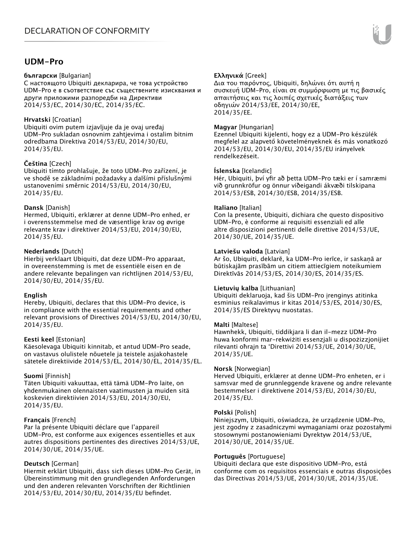## **UDM-Pro**

#### **български** [Bulgarian]

С настоящото Ubiquiti декларира, че това устройство UDM-Pro е в съответствие със съществените изисквания и други приложими разпоредби на Директиви 2014/53/EC, 2014/30/ЕС, 2014/35/ЕС.

### **Hrvatski** [Croatian]

Ubiquiti ovim putem izjavljuje da je ovaj uređaj UDM-Pro sukladan osnovnim zahtjevima i ostalim bitnim odredbama Direktiva 2014/53/EU, 2014/30/EU, 2014/35/EU.

## **Čeština** [Czech]

Ubiquiti tímto prohlašuje, že toto UDM-Pro zařízení, je ve shodě se základními požadavky a dalšími příslušnými ustanoveními směrnic 2014/53/EU, 2014/30/EU, 2014/35/EU.

#### **Dansk** [Danish]

Hermed, Ubiquiti, erklærer at denne UDM-Pro enhed, er i overensstemmelse med de væsentlige krav og øvrige relevante krav i direktiver 2014/53/EU, 2014/30/EU, 2014/35/EU.

## **Nederlands** [Dutch]

Hierbij verklaart Ubiquiti, dat deze UDM-Pro apparaat, in overeenstemming is met de essentiële eisen en de andere relevante bepalingen van richtlijnen 2014/53/EU, 2014/30/EU, 2014/35/EU.

#### **English**

Hereby, Ubiquiti, declares that this UDM-Pro device, is in compliance with the essential requirements and other relevant provisions of Directives 2014/53/EU, 2014/30/EU, 2014/35/EU.

#### **Eesti keel** [Estonian]

Käesolevaga Ubiquiti kinnitab, et antud UDM-Pro seade, on vastavus olulistele nõuetele ja teistele asjakohastele sätetele direktiivide 2014/53/EL, 2014/30/EL, 2014/35/EL.

#### **Suomi** [Finnish]

Täten Ubiquiti vakuuttaa, että tämä UDM-Pro laite, on yhdenmukainen olennaisten vaatimusten ja muiden sitä koskevien direktiivien 2014/53/EU, 2014/30/EU, 2014/35/EU.

## **Français** [French]

Par la présente Ubiquiti déclare que l'appareil UDM-Pro, est conforme aux exigences essentielles et aux autres dispositions pertinentes des directives 2014/53/UE, 2014/30/UE, 2014/35/UE.

## **Deutsch** [German]

Hiermit erklärt Ubiquiti, dass sich dieses UDM-Pro Gerät, in Übereinstimmung mit den grundlegenden Anforderungen und den anderen relevanten Vorschriften der Richtlinien 2014/53/EU, 2014/30/EU, 2014/35/EU befindet.

## **Ελληνικά** [Greek]

Δια του παρόντος, Ubiquiti, δηλώνει ότι αυτή η συσκευή UDM-Pro, είναι σε συμμόρφωση με τις βασικές απαιτήσεις και τις λοιπές σχετικές διατάξεις των οδηγιών 2014/53/EE, 2014/30/EE, 2014/35/EE.

### **Magyar** [Hungarian]

Ezennel Ubiquiti kijelenti, hogy ez a UDM-Pro készülék megfelel az alapvető követelményeknek és más vonatkozó 2014/53/EU, 2014/30/EU, 2014/35/EU irányelvek rendelkezéseit.

#### **Íslenska** [Icelandic]

Hér, Ubiquiti, því yfir að þetta UDM-Pro tæki er í samræmi við grunnkröfur og önnur viðeigandi ákvæði tilskipana 2014/53/ESB, 2014/30/ESB, 2014/35/ESB.

#### **Italiano** [Italian]

Con la presente, Ubiquiti, dichiara che questo dispositivo UDM-Pro, è conforme ai requisiti essenziali ed alle altre disposizioni pertinenti delle direttive 2014/53/UE, 2014/30/UE, 2014/35/UE.

#### **Latviešu valoda** [Latvian]

Ar šo, Ubiquiti, deklarē, ka UDM-Pro ierīce, ir saskaņā ar būtiskajām prasībām un citiem attiecīgiem noteikumiem Direktīvās 2014/53/ES, 2014/30/ES, 2014/35/ES.

#### **Lietuvių kalba** [Lithuanian]

Ubiquiti deklaruoja, kad šis UDM-Pro įrenginys atitinka esminius reikalavimus ir kitas 2014/53/ES, 2014/30/ES, 2014/35/ES Direktyvų nuostatas.

#### **Malti** [Maltese]

Hawnhekk, Ubiquiti, tiddikjara li dan il-mezz UDM-Pro huwa konformi mar-rekwiżiti essenzjali u dispożizzjonijiet rilevanti oħrajn ta 'Direttivi 2014/53/UE, 2014/30/UE, 2014/35/UE.

#### **Norsk** [Norwegian]

Herved Ubiquiti, erklærer at denne UDM-Pro enheten, er i samsvar med de grunnleggende kravene og andre relevante bestemmelser i direktivene 2014/53/EU, 2014/30/EU, 2014/35/EU.

#### **Polski** [Polish]

Niniejszym, Ubiquiti, oświadcza, że urządzenie UDM-Pro, jest zgodny z zasadniczymi wymaganiami oraz pozostałymi stosownymi postanowieniami Dyrektyw 2014/53/UE, 2014/30/UE, 2014/35/UE.

#### **Português** [Portuguese]

Ubiquiti declara que este dispositivo UDM-Pro, está conforme com os requisitos essenciais e outras disposições das Directivas 2014/53/UE, 2014/30/UE, 2014/35/UE.

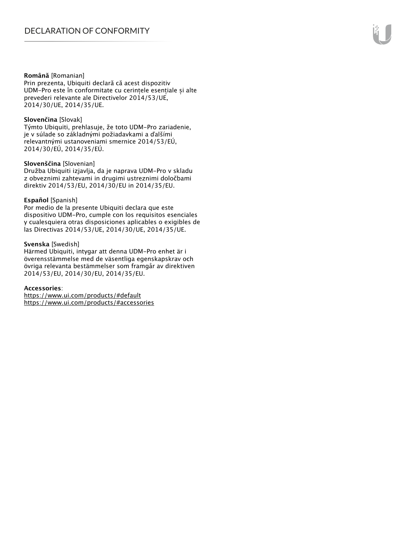#### **Română** [Romanian]

Prin prezenta, Ubiquiti declară că acest dispozitiv UDM-Pro este în conformitate cu cerințele esențiale și alte prevederi relevante ale Directivelor 2014/53/UE, 2014/30/UE, 2014/35/UE.

#### **Slovenčina** [Slovak]

Týmto Ubiquiti, prehlasuje, že toto UDM-Pro zariadenie, je v súlade so základnými požiadavkami a ďalšími relevantnými ustanoveniami smernice 2014/53/EÚ, 2014/30/EÚ, 2014/35/EÚ.

#### **Slovenščina** [Slovenian]

Družba Ubiquiti izjavlja, da je naprava UDM-Pro v skladu z obveznimi zahtevami in drugimi ustreznimi določbami direktiv 2014/53/EU, 2014/30/EU in 2014/35/EU.

#### **Español** [Spanish]

Por medio de la presente Ubiquiti declara que este dispositivo UDM-Pro, cumple con los requisitos esenciales y cualesquiera otras disposiciones aplicables o exigibles de las Directivas 2014/53/UE, 2014/30/UE, 2014/35/UE.

#### **Svenska** [Swedish]

Härmed Ubiquiti, intygar att denna UDM-Pro enhet är i överensstämmelse med de väsentliga egenskapskrav och övriga relevanta bestämmelser som framgår av direktiven 2014/53/EU, 2014/30/EU, 2014/35/EU.

#### **Accessories**:

https://www.ui.com/products/#default https://www.ui.com/products/#accessories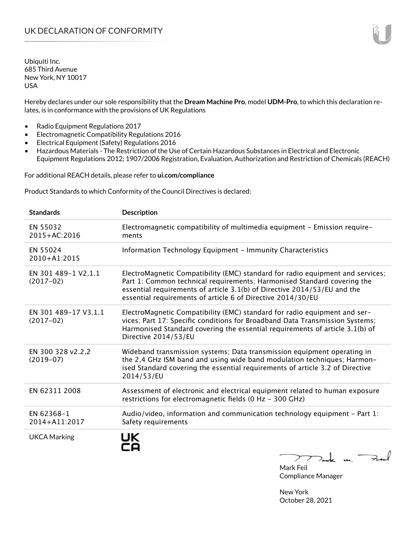Hereby declares under our sole responsibility that the **Dream Machine Pro**, model **UDM-Pro**, to which this declaration relates, is in conformance with the provisions of UK Regulations

- Radio Equipment Regulations 2017
- Electromagnetic Compatibility Regulations 2016
- Electrical Equipment (Safety) Regulations 2016
- Hazardous Materials The Restriction of the Use of Certain Hazardous Substances in Electrical and Electronic Equipment Regulations 2012; 1907/2006 Registration, Evaluation, Authorization and Restriction of Chemicals (REACH)

For additional REACH details, please refer to **ui.com/compliance**

Product Standards to which Conformity of the Council Directives is declared:

| <b>Standards</b>                    | <b>Description</b>                                                                                                                                                                                                                                                                                   |
|-------------------------------------|------------------------------------------------------------------------------------------------------------------------------------------------------------------------------------------------------------------------------------------------------------------------------------------------------|
| EN 55032<br>2015+AC:2016            | Electromagnetic compatibility of multimedia equipment - Emission require-<br>ments                                                                                                                                                                                                                   |
| EN 55024<br>2010+A1:2015            | Information Technology Equipment - Immunity Characteristics                                                                                                                                                                                                                                          |
| EN 301 489-1 V2.1.1<br>$(2017-02)$  | ElectroMagnetic Compatibility (EMC) standard for radio equipment and services;<br>Part 1: Common technical requirements; Harmonised Standard covering the<br>essential requirements of article 3.1(b) of Directive 2014/53/EU and the<br>essential requirements of article 6 of Directive 2014/30/EU |
| EN 301 489-17 V3.1.1<br>$(2017-02)$ | ElectroMagnetic Compatibility (EMC) standard for radio equipment and ser-<br>vices; Part 17: Specific conditions for Broadband Data Transmission Systems;<br>Harmonised Standard covering the essential requirements of article 3.1(b) of<br>Directive 2014/53/EU                                    |
| EN 300 328 v2.2.2<br>$(2019-07)$    | Wideband transmission systems; Data transmission equipment operating in<br>the 2,4 GHz ISM band and using wide band modulation techniques; Harmon-<br>ised Standard covering the essential requirements of article 3.2 of Directive<br>2014/53/EU                                                    |
| EN 62311 2008                       | Assessment of electronic and electrical equipment related to human exposure<br>restrictions for electromagnetic fields (0 Hz - 300 GHz)                                                                                                                                                              |
| EN 62368-1<br>2014+A11:2017         | Audio/video, information and communication technology equipment - Part 1:<br>Safety requirements                                                                                                                                                                                                     |
| <b>UKCA Marking</b>                 | UK<br>><br>$\mathbf{u}$ .                                                                                                                                                                                                                                                                            |

Mark Feil Compliance Manager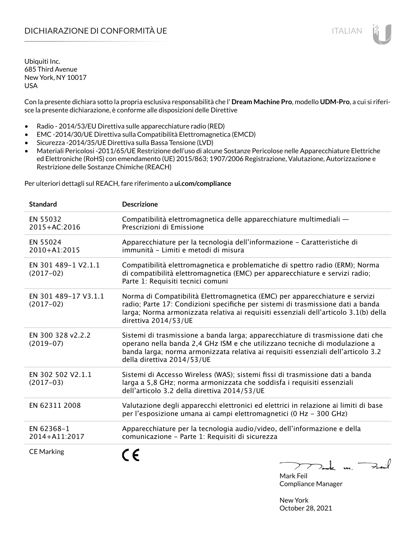Con la presente dichiara sotto la propria esclusiva responsabilità che l' **Dream Machine Pro**, modello **UDM-Pro**, a cui si riferisce la presente dichiarazione, è conforme alle disposizioni delle Direttive

- Radio 2014/53/EU Direttiva sulle apparecchiature radio (RED)
- EMC -2014/30/UE Direttiva sulla Compatibilità Elettromagnetica (EMCD)
- Sicurezza -2014/35/UE Direttiva sulla Bassa Tensione (LVD)
- Materiali Pericolosi -2011/65/UE Restrizione dell'uso di alcune Sostanze Pericolose nelle Apparecchiature Elettriche ed Elettroniche (RoHS) con emendamento (UE) 2015/863; 1907/2006 Registrazione, Valutazione, Autorizzazione e Restrizione delle Sostanze Chimiche (REACH)

Per ulteriori dettagli sul REACH, fare riferimento a **ui.com/compliance**

| <b>Standard</b>                     | <b>Descrizione</b>                                                                                                                                                                                                                                                               |
|-------------------------------------|----------------------------------------------------------------------------------------------------------------------------------------------------------------------------------------------------------------------------------------------------------------------------------|
| EN 55032<br>2015+AC:2016            | Compatibilità elettromagnetica delle apparecchiature multimediali -<br>Prescrizioni di Emissione                                                                                                                                                                                 |
| EN 55024<br>2010+A1:2015            | Apparecchiature per la tecnologia dell'informazione - Caratteristiche di<br>immunità - Limiti e metodi di misura                                                                                                                                                                 |
| EN 301 489-1 V2.1.1<br>$(2017-02)$  | Compatibilità elettromagnetica e problematiche di spettro radio (ERM); Norma<br>di compatibilità elettromagnetica (EMC) per apparecchiature e servizi radio;<br>Parte 1: Requisiti tecnici comuni                                                                                |
| EN 301 489-17 V3.1.1<br>$(2017-02)$ | Norma di Compatibilità Elettromagnetica (EMC) per apparecchiature e servizi<br>radio; Parte 17: Condizioni specifiche per sistemi di trasmissione dati a banda<br>larga; Norma armonizzata relativa ai requisiti essenziali dell'articolo 3.1(b) della<br>direttiva 2014/53/UE   |
| EN 300 328 v2.2.2<br>$(2019-07)$    | Sistemi di trasmissione a banda larga; apparecchiature di trasmissione dati che<br>operano nella banda 2,4 GHz ISM e che utilizzano tecniche di modulazione a<br>banda larga; norma armonizzata relativa ai requisiti essenziali dell'articolo 3.2<br>della direttiva 2014/53/UE |
| EN 302 502 V2.1.1<br>$(2017-03)$    | Sistemi di Accesso Wireless (WAS); sistemi fissi di trasmissione dati a banda<br>larga a 5,8 GHz; norma armonizzata che soddisfa i requisiti essenziali<br>dell'articolo 3.2 della direttiva 2014/53/UE                                                                          |
| EN 62311 2008                       | Valutazione degli apparecchi elettronici ed elettrici in relazione ai limiti di base<br>per l'esposizione umana ai campi elettromagnetici (0 Hz - 300 GHz)                                                                                                                       |
| EN 62368-1<br>2014+A11:2017         | Apparecchiature per la tecnologia audio/video, dell'informazione e della<br>comunicazione - Parte 1: Requisiti di sicurezza                                                                                                                                                      |
| <b>CE Marking</b>                   | $>$ ak un.<br>$\sqrt{ }$                                                                                                                                                                                                                                                         |

Mark Feil Compliance Manager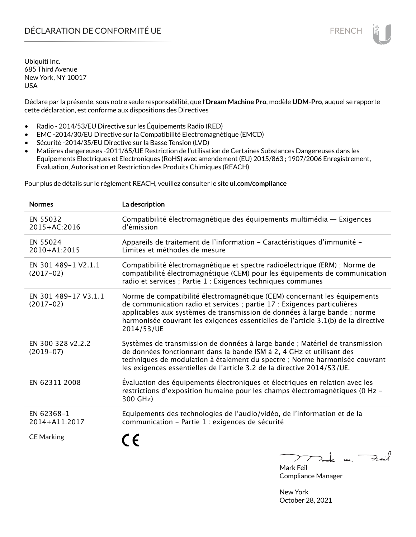# DÉCLARATION DE CONFORMITÉ UE EN ENCHANGEMENT DE CONFORMITÉ UNE ENCHANGEMENT DE CONFORMITÉ UNE ENCHANGEMENT DE

Ubiquiti Inc. 685 Third Avenue New York, NY 10017 USA

Déclare par la présente, sous notre seule responsabilité, que l'**Dream Machine Pro**, modèle **UDM-Pro**, auquel se rapporte cette déclaration, est conforme aux dispositions des Directives

- Radio 2014/53/EU Directive sur les Équipements Radio (RED)
- EMC -2014/30/EU Directive sur la Compatibilité Electromagnétique (EMCD)
- Sécurité -2014/35/EU Directive sur la Basse Tension (LVD)
- Matières dangereuses -2011/65/UE Restriction de l'utilisation de Certaines Substances Dangereuses dans les Equipements Electriques et Electroniques (RoHS) avec amendement (EU) 2015/863 ; 1907/2006 Enregistrement, Evaluation, Autorisation et Restriction des Produits Chimiques (REACH)

Pour plus de détails sur le règlement REACH, veuillez consulter le site **ui.com/compliance**

| <b>Normes</b>                       | La description                                                                                                                                                                                                                                                                                                                         |
|-------------------------------------|----------------------------------------------------------------------------------------------------------------------------------------------------------------------------------------------------------------------------------------------------------------------------------------------------------------------------------------|
| EN 55032<br>2015+AC:2016            | Compatibilité électromagnétique des équipements multimédia — Exigences<br>d'émission                                                                                                                                                                                                                                                   |
| EN 55024<br>2010+A1:2015            | Appareils de traitement de l'information - Caractéristiques d'immunité -<br>Limites et méthodes de mesure                                                                                                                                                                                                                              |
| EN 301 489-1 V2.1.1<br>$(2017-02)$  | Compatibilité électromagnétique et spectre radioélectrique (ERM) ; Norme de<br>compatibilité électromagnétique (CEM) pour les équipements de communication<br>radio et services ; Partie 1 : Exigences techniques communes                                                                                                             |
| EN 301 489-17 V3.1.1<br>$(2017-02)$ | Norme de compatibilité électromagnétique (CEM) concernant les équipements<br>de communication radio et services ; partie 17 : Exigences particulières<br>applicables aux systèmes de transmission de données à large bande ; norme<br>harmonisée couvrant les exigences essentielles de l'article 3.1(b) de la directive<br>2014/53/UE |
| EN 300 328 v2.2.2<br>$(2019-07)$    | Systèmes de transmission de données à large bande ; Matériel de transmission<br>de données fonctionnant dans la bande ISM à 2, 4 GHz et utilisant des<br>techniques de modulation à étalement du spectre ; Norme harmonisée couvrant<br>les exigences essentielles de l'article 3.2 de la directive 2014/53/UE.                        |
| EN 62311 2008                       | Évaluation des équipements électroniques et électriques en relation avec les<br>restrictions d'exposition humaine pour les champs électromagnétiques (0 Hz -<br>300 GHz)                                                                                                                                                               |
| EN 62368-1<br>2014+A11:2017         | Equipements des technologies de l'audio/vidéo, de l'information et de la<br>communication - Partie 1 : exigences de sécurité                                                                                                                                                                                                           |
| <b>CE Marking</b>                   | n                                                                                                                                                                                                                                                                                                                                      |

Feat  $2nk$  u.  $\overline{\phantom{a}}$ ╱

Mark Feil Compliance Manager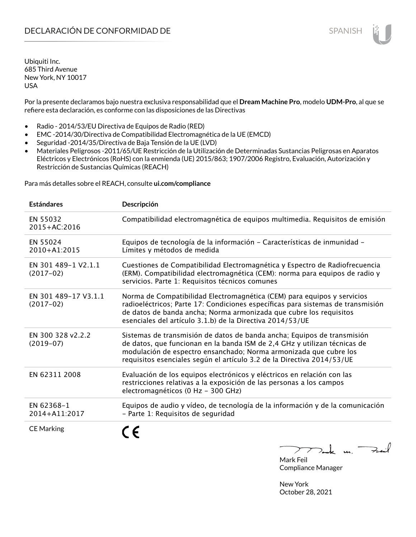Por la presente declaramos bajo nuestra exclusiva responsabilidad que el **Dream Machine Pro**, modelo **UDM-Pro**, al que se refiere esta declaración, es conforme con las disposiciones de las Directivas

- Radio 2014/53/EU Directiva de Equipos de Radio (RED)
- EMC -2014/30/Directiva de Compatibilidad Electromagnética de la UE (EMCD)
- Seguridad -2014/35/Directiva de Baja Tensión de la UE (LVD)
- Materiales Peligrosos -2011/65/UE Restricción de la Utilización de Determinadas Sustancias Peligrosas en Aparatos Eléctricos y Electrónicos (RoHS) con la enmienda (UE) 2015/863; 1907/2006 Registro, Evaluación, Autorización y Restricción de Sustancias Químicas (REACH)

Para más detalles sobre el REACH, consulte **ui.com/compliance**

| <b>Estándares</b>                   | Descripción                                                                                                                                                                                                                                                                                         |
|-------------------------------------|-----------------------------------------------------------------------------------------------------------------------------------------------------------------------------------------------------------------------------------------------------------------------------------------------------|
| EN 55032<br>2015+AC:2016            | Compatibilidad electromagnética de equipos multimedia. Requisitos de emisión                                                                                                                                                                                                                        |
| EN 55024<br>2010+A1:2015            | Equipos de tecnología de la información - Características de inmunidad -<br>Límites y métodos de medida                                                                                                                                                                                             |
| EN 301 489-1 V2.1.1<br>$(2017-02)$  | Cuestiones de Compatibilidad Electromagnética y Espectro de Radiofrecuencia<br>(ERM). Compatibilidad electromagnética (CEM): norma para equipos de radio y<br>servicios. Parte 1: Requisitos técnicos comunes                                                                                       |
| EN 301 489-17 V3.1.1<br>$(2017-02)$ | Norma de Compatibilidad Electromagnética (CEM) para equipos y servicios<br>radioeléctricos; Parte 17: Condiciones específicas para sistemas de transmisión<br>de datos de banda ancha; Norma armonizada que cubre los requisitos<br>esenciales del artículo 3.1.b) de la Directiva 2014/53/UE       |
| EN 300 328 v2.2.2<br>$(2019-07)$    | Sistemas de transmisión de datos de banda ancha; Equipos de transmisión<br>de datos, que funcionan en la banda ISM de 2,4 GHz y utilizan técnicas de<br>modulación de espectro ensanchado; Norma armonizada que cubre los<br>requisitos esenciales según el artículo 3.2 de la Directiva 2014/53/UE |
| EN 62311 2008                       | Evaluación de los equipos electrónicos y eléctricos en relación con las<br>restricciones relativas a la exposición de las personas a los campos<br>electromagnéticos (0 Hz - 300 GHz)                                                                                                               |
| EN 62368-1<br>2014+A11:2017         | Equipos de audio y vídeo, de tecnología de la información y de la comunicación<br>- Parte 1: Requisitos de seguridad                                                                                                                                                                                |
| <b>CE Marking</b>                   |                                                                                                                                                                                                                                                                                                     |

 $k$  m. Fail

Mark Feil Compliance Manager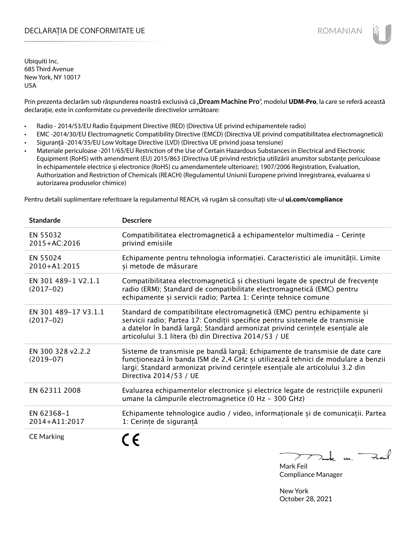## DECLARAȚIA DE CONFORMITATE UE EXTERNATION ANNO 1999 EN ANNO 1999 ROMANIAN

Ubiquiti Inc. 685 Third Avenue New York, NY 10017 USA

Prin prezenta declarăm sub răspunderea noastră exclusivă că "**Dream Machine Pro**", modelul **UDM-Pro**, la care se referă această declarație, este în conformitate cu prevederile directivelor următoare:

- Radio 2014/53/EU Radio Equipment Directive (RED) (Directiva UE privind echipamentele radio)
- EMC -2014/30/EU Electromagnetic Compatibility Directive (EMCD) (Directiva UE privind compatibilitatea electromagnetică)
- Siguranță -2014/35/EU Low Voltage Directive (LVD) (Directiva UE privind joasa tensiune)
- Materiale periculoase -2011/65/EU Restriction of the Use of Certain Hazardous Substances in Electrical and Electronic Equipment (RoHS) with amendment (EU) 2015/863 (Directiva UE privind restricția utilizării anumitor substanțe periculoase în echipamentele electrice și electronice (RoHS) cu amendamentele ulterioare); 1907/2006 Registration, Evaluation, Authorization and Restriction of Chemicals (REACH) (Regulamentul Uniunii Europene privind înregistrarea, evaluarea si autorizarea produselor chimice)

Pentru detalii suplimentare referitoare la regulamentul REACH, vă rugăm să consultați site-ul **ui.com/compliance**

| <b>Standarde</b>                    | <b>Descriere</b>                                                                                                                                                                                                                                                                                  |
|-------------------------------------|---------------------------------------------------------------------------------------------------------------------------------------------------------------------------------------------------------------------------------------------------------------------------------------------------|
| EN 55032<br>2015+AC:2016            | Compatibilitatea electromagnetică a echipamentelor multimedia - Cerințe<br>privind emisiile                                                                                                                                                                                                       |
| EN 55024<br>2010+A1:2015            | Echipamente pentru tehnologia informației. Caracteristici ale imunității. Limite<br>și metode de măsurare                                                                                                                                                                                         |
| EN 301 489-1 V2.1.1<br>$(2017-02)$  | Compatibilitatea electromagnetică și chestiuni legate de spectrul de frecvențe<br>radio (ERM); Standard de compatibilitate electromagnetică (EMC) pentru<br>echipamente și servicii radio; Partea 1: Cerințe tehnice comune                                                                       |
| EN 301 489-17 V3.1.1<br>$(2017-02)$ | Standard de compatibilitate electromagnetică (EMC) pentru echipamente și<br>servicii radio; Partea 17: Conditii specifice pentru sistemele de transmisie<br>a datelor în bandă largă; Standard armonizat privind cerințele esențiale ale<br>articolului 3.1 litera (b) din Directiva 2014/53 / UE |
| EN 300 328 v2.2.2<br>$(2019-07)$    | Sisteme de transmisie pe bandă largă; Echipamente de transmisie de date care<br>funcționează în banda ISM de 2,4 GHz și utilizează tehnici de modulare a benzii<br>largi; Standard armonizat privind cerintele esentiale ale articolului 3.2 din<br>Directiva 2014/53 / UE                        |
| EN 62311 2008                       | Evaluarea echipamentelor electronice și electrice legate de restricțiile expunerii<br>umane la câmpurile electromagnetice (0 Hz - 300 GHz)                                                                                                                                                        |
| EN 62368-1<br>2014+A11:2017         | Echipamente tehnologice audio / video, informaționale și de comunicații. Partea<br>1: Cerințe de siguranță                                                                                                                                                                                        |
| <b>CE Marking</b>                   |                                                                                                                                                                                                                                                                                                   |

 $k$  un  $\rightarrow$ 

Mark Feil Compliance Manager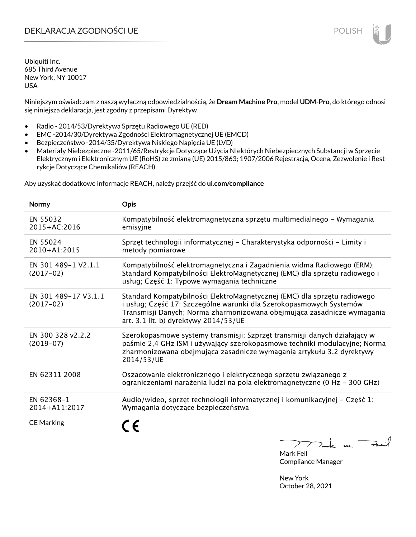# DEKLARACJA ZGODNOŚCI UE POLISH

Ubiquiti Inc. 685 Third Avenue New York, NY 10017 USA

Niniejszym oświadczam z naszą wyłączną odpowiedzialnością, że **Dream Machine Pro**, model **UDM-Pro**, do którego odnosi się niniejsza deklaracja, jest zgodny z przepisami Dyrektyw

- Radio 2014/53/Dyrektywa Sprzętu Radiowego UE (RED)
- EMC -2014/30/Dyrektywa Zgodności Elektromagnetycznej UE (EMCD)
- Bezpieczeństwo -2014/35/Dyrektywa Niskiego Napięcia UE (LVD)
- Materiały Niebezpieczne -2011/65/Restrykcje Dotyczące Użycia NIektórych Niebezpiecznych Substancji w Sprzęcie Elektrycznym i Elektronicznym UE (RoHS) ze zmianą (UE) 2015/863; 1907/2006 Rejestracja, Ocena, Zezwolenie i Restrykcje Dotyczące Chemikaliów (REACH)

Aby uzyskać dodatkowe informacje REACH, należy przejść do **ui.com/compliance**

| Normy                               | <b>Opis</b>                                                                                                                                                                                                                                                         |
|-------------------------------------|---------------------------------------------------------------------------------------------------------------------------------------------------------------------------------------------------------------------------------------------------------------------|
| EN 55032<br>2015+AC:2016            | Kompatybilność elektromagnetyczna sprzętu multimedialnego - Wymagania<br>emisyjne                                                                                                                                                                                   |
| EN 55024<br>2010+A1:2015            | Sprzęt technologii informatycznej - Charakterystyka odporności - Limity i<br>metody pomiarowe                                                                                                                                                                       |
| EN 301 489-1 V2.1.1<br>$(2017-02)$  | Kompatybilność elektromagnetyczna i Zagadnienia widma Radiowego (ERM);<br>Standard Kompatybilności ElektroMagnetycznej (EMC) dla sprzętu radiowego i<br>usług; Część 1: Typowe wymagania techniczne                                                                 |
| EN 301 489-17 V3.1.1<br>$(2017-02)$ | Standard Kompatybilności ElektroMagnetycznej (EMC) dla sprzętu radiowego<br>i usług; Część 17: Szczególne warunki dla Szerokopasmowych Systemów<br>Transmisji Danych; Norma zharmonizowana obejmująca zasadnicze wymagania<br>art. 3.1 lit. b) dyrektywy 2014/53/UE |
| EN 300 328 v2.2.2<br>$(2019-07)$    | Szerokopasmowe systemy transmisji; Szprzęt transmisji danych działający w<br>paśmie 2,4 GHz ISM i używający szerokopasmowe techniki modulacyjne; Norma<br>zharmonizowana obejmująca zasadnicze wymagania artykułu 3.2 dyrektywy<br>2014/53/UE                       |
| EN 62311 2008                       | Oszacowanie elektronicznego i elektrycznego sprzętu związanego z<br>ograniczeniami narażenia ludzi na pola elektromagnetyczne (0 Hz - 300 GHz)                                                                                                                      |
| EN 62368-1<br>2014+A11:2017         | Audio/wideo, sprzęt technologii informatycznej i komunikacyjnej - Część 1:<br>Wymagania dotyczące bezpieczeństwa                                                                                                                                                    |
| <b>CE Marking</b>                   |                                                                                                                                                                                                                                                                     |

Fail

Mark Feil Compliance Manager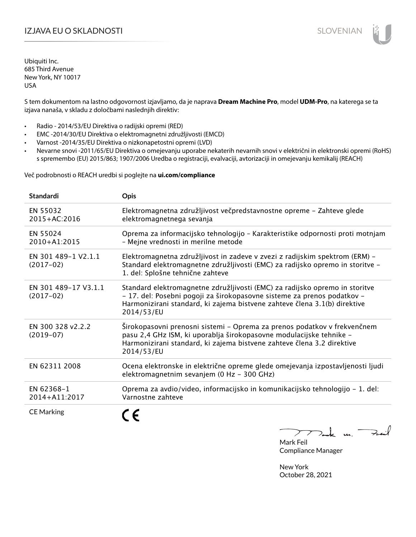# I**ZJAVA EU O SKLADNOSTI** SLOVENIAN

Ubiquiti Inc. 685 Third Avenue New York, NY 10017 USA

S tem dokumentom na lastno odgovornost izjavljamo, da je naprava **Dream Machine Pro**, model **UDM-Pro**, na katerega se ta izjava nanaša, v skladu z določbami naslednjih direktiv:

- Radio 2014/53/EU Direktiva o radijski opremi (RED)
- EMC -2014/30/EU Direktiva o elektromagnetni združljivosti (EMCD)
- Varnost -2014/35/EU Direktiva o nizkonapetostni opremi (LVD)
- Nevarne snovi -2011/65/EU Direktiva o omejevanju uporabe nekaterih nevarnih snovi v električni in elektronski opremi (RoHS) s spremembo (EU) 2015/863; 1907/2006 Uredba o registraciji, evalvaciji, avtorizaciji in omejevanju kemikalij (REACH)

Več podrobnosti o REACH uredbi si poglejte na **ui.com/compliance**

| <b>Standardi</b>                    | <b>Opis</b>                                                                                                                                                                                                                                       |
|-------------------------------------|---------------------------------------------------------------------------------------------------------------------------------------------------------------------------------------------------------------------------------------------------|
| EN 55032<br>$2015 + AC:2016$        | Elektromagnetna združljivost večpredstavnostne opreme - Zahteve glede<br>elektromagnetnega sevanja                                                                                                                                                |
| EN 55024<br>2010+A1:2015            | Oprema za informacijsko tehnologijo - Karakteristike odpornosti proti motnjam<br>- Mejne vrednosti in merilne metode                                                                                                                              |
| EN 301 489-1 V2.1.1<br>$(2017-02)$  | Elektromagnetna združljivost in zadeve v zvezi z radijskim spektrom (ERM) -<br>Standard elektromagnetne združljivosti (EMC) za radijsko opremo in storitve -<br>1. del: Splošne tehnične zahteve                                                  |
| EN 301 489-17 V3.1.1<br>$(2017-02)$ | Standard elektromagnetne združljivosti (EMC) za radijsko opremo in storitve<br>- 17. del: Posebni pogoji za širokopasovne sisteme za prenos podatkov -<br>Harmonizirani standard, ki zajema bistvene zahteve člena 3.1(b) direktive<br>2014/53/EU |
| EN 300 328 v2.2.2<br>$(2019-07)$    | Širokopasovni prenosni sistemi - Oprema za prenos podatkov v frekvenčnem<br>pasu 2,4 GHz ISM, ki uporablja širokopasovne modulacijske tehnike -<br>Harmonizirani standard, ki zajema bistvene zahteve člena 3.2 direktive<br>2014/53/EU           |
| EN 62311 2008                       | Ocena elektronske in električne opreme glede omejevanja izpostavljenosti ljudi<br>elektromagnetnim sevanjem (0 Hz - 300 GHz)                                                                                                                      |
| EN 62368-1<br>2014+A11:2017         | Oprema za avdio/video, informacijsko in komunikacijsko tehnologijo - 1. del:<br>Varnostne zahteve                                                                                                                                                 |
| <b>CE Marking</b>                   |                                                                                                                                                                                                                                                   |

m. Fail

Mark Feil Compliance Manager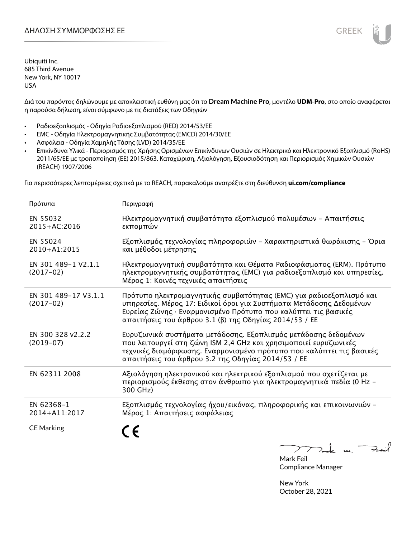Διά του παρόντος δηλώνουμε με αποκλειστική ευθύνη μας ότι το **Dream Machine Pro**, μοντέλο **UDM-Pro**, στο οποίο αναφέρεται η παρούσα δήλωση, είναι σύμφωνο με τις διατάξεις των Οδηγιών

- Ραδιοεξοπλισμός Οδηγία Ραδιοεξοπλισμού (RED) 2014/53/ΕΕ
- EMC Οδηγία Ηλεκτρομαγνητικής Συμβατότητας (EMCD) 2014/30/ΕΕ
- Ασφάλεια Οδηγία Χαμηλής Τάσης (LVD) 2014/35/ΕΕ
- Επικίνδυνα Υλικά Περιορισμός της Χρήσης Ορισμένων Επικίνδυνων Ουσιών σε Ηλεκτρικό και Ηλεκτρονικό Εξοπλισμό (RoHS) 2011/65/ΕΕ με τροποποίηση (ΕΕ) 2015/863. Καταχώριση, Αξιολόγηση, Εξουσιοδότηση και Περιορισμός Χημικών Ουσιών (REACH) 1907/2006

Για περισσότερες λεπτομέρειες σχετικά με το REACH, παρακαλούμε ανατρέξτε στη διεύθυνση **ui.com/compliance**

| Πρότυπα                             | Περιγραφή                                                                                                                                                                                                                                                              |
|-------------------------------------|------------------------------------------------------------------------------------------------------------------------------------------------------------------------------------------------------------------------------------------------------------------------|
| EN 55032<br>2015+AC:2016            | Ηλεκτρομαγνητική συμβατότητα εξοπλισμού πολυμέσων - Απαιτήσεις<br>εκπομπών                                                                                                                                                                                             |
| EN 55024<br>2010+A1:2015            | Εξοπλισμός τεχνολογίας πληροφοριών - Χαρακτηριστικά θωράκισης - Όρια<br>και μέθοδοι μέτρησης                                                                                                                                                                           |
| EN 301 489-1 V2.1.1<br>$(2017-02)$  | Ηλεκτρομαγνητική συμβατότητα και Θέματα Ραδιοφάσματος (ERM). Πρότυπο<br>ηλεκτρομαγνητικής συμβατότητας (ΕΜC) για ραδιοεξοπλισμό και υπηρεσίες.<br>Μέρος 1: Κοινές τεχνικές απαιτήσεις                                                                                  |
| EN 301 489-17 V3.1.1<br>$(2017-02)$ | Πρότυπο ηλεκτρομαγνητικής συμβατότητας (ΕΜC) για ραδιοεξοπλισμό και<br>υπηρεσίες. Μέρος 17: Ειδικοί όροι για Συστήματα Μετάδοσης Δεδομένων<br>Ευρείας Ζώνης · Εναρμονισμένο Πρότυπο που καλύπτει τις βασικές<br>απαιτήσεις του άρθρου 3.1 (β) της Οδηγίας 2014/53 / ΕΕ |
| EN 300 328 v2.2.2<br>$(2019-07)$    | Ευρυζωνικά συστήματα μετάδοσης. Εξοπλισμός μετάδοσης δεδομένων<br>που λειτουργεί στη ζώνη ISM 2,4 GHz και χρησιμοποιεί ευρυζωνικές<br>τεχνικές διαμόρφωσης. Εναρμονισμένο πρότυπο που καλύπτει τις βασικές<br>απαιτήσεις του άρθρου 3.2 της Οδηγίας 2014/53 / ΕΕ       |
| EN 62311 2008                       | Αξιολόγηση ηλεκτρονικού και ηλεκτρικού εξοπλισμού που σχετίζεται με<br>περιορισμούς έκθεσης στον άνθρωπο για ηλεκτρομαγνητικά πεδία (0 Hz -<br>300 GHz)                                                                                                                |
| EN 62368-1<br>2014+A11:2017         | Εξοπλισμός τεχνολογίας ήχου/εικόνας, πληροφορικής και επικοινωνιών -<br>Μέρος 1: Απαιτήσεις ασφάλειας                                                                                                                                                                  |
| <b>CE Marking</b>                   |                                                                                                                                                                                                                                                                        |

Tak m. Fail  $\sum$ 

Mark Feil Compliance Manager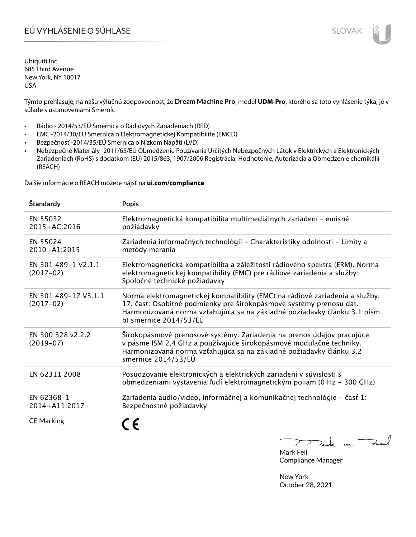# EÚ VYHLÁSENIE O SÚHLASE SLOVAK SLOVAK

Ubiquiti Inc. 685 Third Avenue New York, NY 10017 USA

Týmto prehlasuje, na našu výlučnú zodpovednosť, že **Dream Machine Pro**, model **UDM-Pro**, ktorého sa toto vyhlásenie týka, je v súlade s ustanoveniami Smerníc

- Rádio 2014/53/EÚ Smernica o Rádiových Zariadeniach (RED)
- EMC -2014/30/EÚ Smernica o Elektromagnetickej Kompatibilite (EMCD)
- Bezpečnosť -2014/35/EÚ Smernica o Nízkom Napätí (LVD)
- Nebezpečné Materiály -2011/65/EÚ Obmedzenie Používania Určitých Nebezpečných Látok v Elektrických a Elektronických Zariadeniach (RoHS) s dodatkom (EÚ) 2015/863; 1907/2006 Registrácia, Hodnotenie, Autorizácia a Obmedzenie chemikálií (REACH)

Ďalšie informácie o REACH môžete nájsť na **ui.com/compliance**

| Štandardy                           | <b>Popis</b>                                                                                                                                                                                                                                                 |
|-------------------------------------|--------------------------------------------------------------------------------------------------------------------------------------------------------------------------------------------------------------------------------------------------------------|
| EN 55032<br>2015+AC:2016            | Elektromagnetická kompatibilita multimediálnych zariadení - emisné<br>požiadavky                                                                                                                                                                             |
| EN 55024<br>2010+A1:2015            | Zariadenia informačných technológií - Charakteristiky odolnosti - Limity a<br>metódy merania                                                                                                                                                                 |
| EN 301 489-1 V2.1.1<br>$(2017-02)$  | Elektromagnetická kompatibilita a záležitosti rádiového spektra (ERM). Norma<br>elektromagnetickej kompatibility (EMC) pre rádiové zariadenia a služby:<br>Spoločné technické požiadavky                                                                     |
| EN 301 489-17 V3.1.1<br>$(2017-02)$ | Norma elektromagnetickej kompatibility (EMC) na rádiové zariadenia a služby.<br>17. časť: Osobitné podmienky pre širokopásmové systémy prenosu dát.<br>Harmonizovaná norma vzťahujúca sa na základné požiadavky článku 3.1 písm.<br>b) smernice $2014/53/EU$ |
| EN 300 328 v2.2.2<br>$(2019-07)$    | Širokopásmové prenosové systémy. Zariadenia na prenos údajov pracujúce<br>v pásme ISM 2,4 GHz a používajúce širokopásmové modulačné techniky.<br>Harmonizovaná norma vzťahujúca sa na základné požiadavky článku 3.2<br>smernice 2014/53/EÚ                  |
| EN 62311 2008                       | Posudzovanie elektronických a elektrických zariadení v súvislosti s<br>obmedzeniami vystavenia ľudí elektromagnetickým poliam (0 Hz - 300 GHz)                                                                                                               |
| EN 62368-1<br>2014+A11:2017         | Zariadenia audio/video, informačnej a komunikačnej technológie - časť 1:<br>Bezpečnostné požiadavky                                                                                                                                                          |
| <b>CE Marking</b>                   |                                                                                                                                                                                                                                                              |

 $k$  un  $\rightarrow$  $\sum$ 

Mark Feil Compliance Manager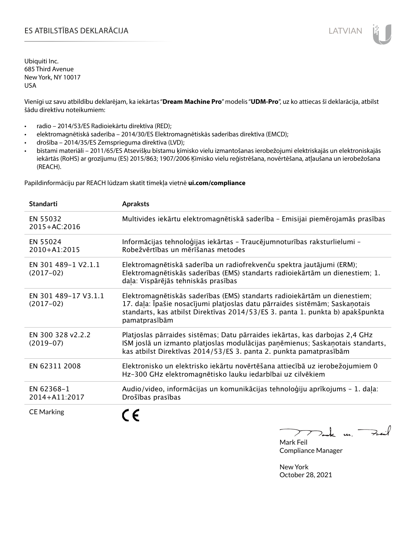# ES ATBILSTĪBAS DEKLARĀCIJA LATVIAN

Ubiquiti Inc. 685 Third Avenue New York, NY 10017 USA

Vienīgi uz savu atbildību deklarējam, ka iekārtas "**Dream Machine Pro**" modelis "**UDM-Pro**", uz ko attiecas šī deklarācija, atbilst šādu direktīvu noteikumiem:

- radio 2014/53/ES Radioiekārtu direktīva (RED);
- elektromagnētiskā saderība 2014/30/ES Elektromagnētiskās saderības direktīva (EMCD);
- drošība 2014/35/ES Zemsprieguma direktīva (LVD);
- bīstami materiāli 2011/65/ES Atsevišķu bīstamu ķīmisko vielu izmantošanas ierobežojumi elektriskajās un elektroniskajās iekārtās (RoHS) ar grozījumu (ES) 2015/863; 1907/2006 Ķīmisko vielu reģistrēšana, novērtēšana, atļaušana un ierobežošana (REACH).

Papildinformāciju par REACH lūdzam skatīt tīmekļa vietnē **ui.com/compliance**

| <b>Standarti</b>                    | <b>Apraksts</b>                                                                                                                                                                                                                                             |
|-------------------------------------|-------------------------------------------------------------------------------------------------------------------------------------------------------------------------------------------------------------------------------------------------------------|
| EN 55032<br>2015+AC:2016            | Multivides iekārtu elektromagnētiskā saderība - Emisijai piemērojamās prasības                                                                                                                                                                              |
| EN 55024<br>2010+A1:2015            | Informācijas tehnoloģijas iekārtas - Traucējumnoturības raksturlielumi -<br>Robežvērtības un mērīšanas metodes                                                                                                                                              |
| EN 301 489-1 V2.1.1<br>$(2017-02)$  | Elektromagnētiskā saderība un radiofrekvenču spektra jautājumi (ERM);<br>Elektromagnētiskās saderības (EMS) standarts radioiekārtām un dienestiem; 1.<br>daļa: Vispārējās tehniskās prasības                                                                |
| EN 301 489-17 V3.1.1<br>$(2017-02)$ | Elektromagnētiskās saderības (EMS) standarts radioiekārtām un dienestiem;<br>17. daļa: Īpašie nosacījumi platjoslas datu pārraides sistēmām; Saskaņotais<br>standarts, kas atbilst Direktīvas 2014/53/ES 3. panta 1. punkta b) apakšpunkta<br>pamatprasībām |
| EN 300 328 v2.2.2<br>$(2019-07)$    | Platjoslas pārraides sistēmas; Datu pārraides iekārtas, kas darbojas 2,4 GHz<br>ISM joslā un izmanto platjoslas modulācijas paņēmienus; Saskaņotais standarts,<br>kas atbilst Direktīvas 2014/53/ES 3. panta 2. punkta pamatprasībām                        |
| EN 62311 2008                       | Elektronisko un elektrisko iekārtu novērtēšana attiecībā uz ierobežojumiem 0<br>Hz-300 GHz elektromagnētisko lauku iedarbībai uz cilvēkiem                                                                                                                  |
| EN 62368-1<br>2014+A11:2017         | Audio/video, informācijas un komunikācijas tehnoloģiju aprīkojums - 1. daļa:<br>Drošības prasības                                                                                                                                                           |
| <b>CE Marking</b>                   |                                                                                                                                                                                                                                                             |

 $m.$  Fail  $\gt$ 

Mark Feil Compliance Manager